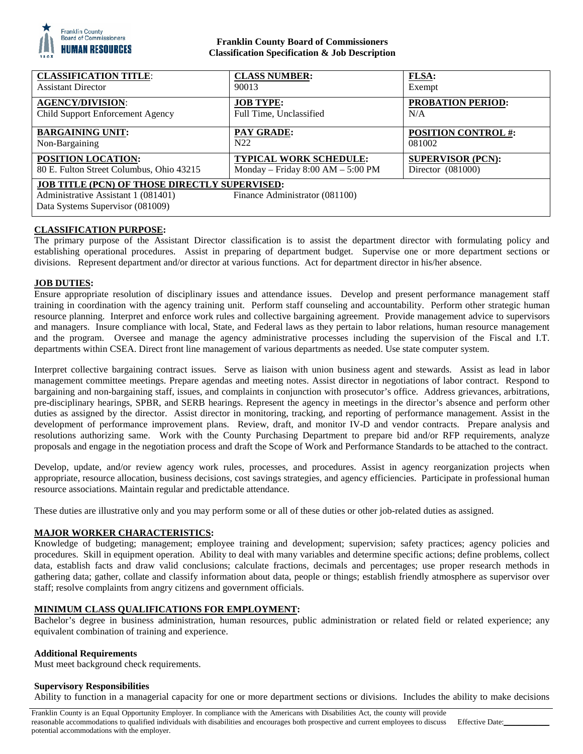

## **Franklin County Board of Commissioners Classification Specification & Job Description**

| <b>CLASSIFICATION TITLE:</b>                                                                                                                                      | <b>CLASS NUMBER:</b>                | <b>FLSA:</b>               |
|-------------------------------------------------------------------------------------------------------------------------------------------------------------------|-------------------------------------|----------------------------|
| <b>Assistant Director</b>                                                                                                                                         | 90013                               | Exempt                     |
| <b>AGENCY/DIVISION:</b>                                                                                                                                           | <b>JOB TYPE:</b>                    | PROBATION PERIOD:          |
| Child Support Enforcement Agency                                                                                                                                  | Full Time, Unclassified             | N/A                        |
| <b>BARGAINING UNIT:</b>                                                                                                                                           | <b>PAY GRADE:</b>                   | <b>POSITION CONTROL #:</b> |
| Non-Bargaining                                                                                                                                                    | N <sub>22</sub>                     | 081002                     |
| POSITION LOCATION:                                                                                                                                                | <b>TYPICAL WORK SCHEDULE:</b>       | <b>SUPERVISOR (PCN):</b>   |
| 80 E. Fulton Street Columbus, Ohio 43215                                                                                                                          | Monday – Friday $8:00 AM - 5:00 PM$ | Director $(081000)$        |
| <b>JOB TITLE (PCN) OF THOSE DIRECTLY SUPERVISED:</b><br>Finance Administrator (081100)<br>Administrative Assistant 1 (081401)<br>Data Systems Supervisor (081009) |                                     |                            |

# **CLASSIFICATION PURPOSE:**

The primary purpose of the Assistant Director classification is to assist the department director with formulating policy and establishing operational procedures. Assist in preparing of department budget. Supervise one or more department sections or divisions. Represent department and/or director at various functions. Act for department director in his/her absence.

# **JOB DUTIES:**

Ensure appropriate resolution of disciplinary issues and attendance issues. Develop and present performance management staff training in coordination with the agency training unit. Perform staff counseling and accountability. Perform other strategic human resource planning. Interpret and enforce work rules and collective bargaining agreement. Provide management advice to supervisors and managers. Insure compliance with local, State, and Federal laws as they pertain to labor relations, human resource management and the program. Oversee and manage the agency administrative processes including the supervision of the Fiscal and I.T. departments within CSEA. Direct front line management of various departments as needed. Use state computer system.

Interpret collective bargaining contract issues. Serve as liaison with union business agent and stewards. Assist as lead in labor management committee meetings. Prepare agendas and meeting notes. Assist director in negotiations of labor contract. Respond to bargaining and non-bargaining staff, issues, and complaints in conjunction with prosecutor's office. Address grievances, arbitrations, pre-disciplinary hearings, SPBR, and SERB hearings. Represent the agency in meetings in the director's absence and perform other duties as assigned by the director. Assist director in monitoring, tracking, and reporting of performance management. Assist in the development of performance improvement plans. Review, draft, and monitor IV-D and vendor contracts. Prepare analysis and resolutions authorizing same. Work with the County Purchasing Department to prepare bid and/or RFP requirements, analyze proposals and engage in the negotiation process and draft the Scope of Work and Performance Standards to be attached to the contract.

Develop, update, and/or review agency work rules, processes, and procedures. Assist in agency reorganization projects when appropriate, resource allocation, business decisions, cost savings strategies, and agency efficiencies. Participate in professional human resource associations. Maintain regular and predictable attendance.

These duties are illustrative only and you may perform some or all of these duties or other job-related duties as assigned.

### **MAJOR WORKER CHARACTERISTICS:**

Knowledge of budgeting; management; employee training and development; supervision; safety practices; agency policies and procedures. Skill in equipment operation. Ability to deal with many variables and determine specific actions; define problems, collect data, establish facts and draw valid conclusions; calculate fractions, decimals and percentages; use proper research methods in gathering data; gather, collate and classify information about data, people or things; establish friendly atmosphere as supervisor over staff; resolve complaints from angry citizens and government officials.

## **MINIMUM CLASS QUALIFICATIONS FOR EMPLOYMENT:**

Bachelor's degree in business administration, human resources, public administration or related field or related experience; any equivalent combination of training and experience.

#### **Additional Requirements**

Must meet background check requirements.

#### **Supervisory Responsibilities**

Ability to function in a managerial capacity for one or more department sections or divisions. Includes the ability to make decisions